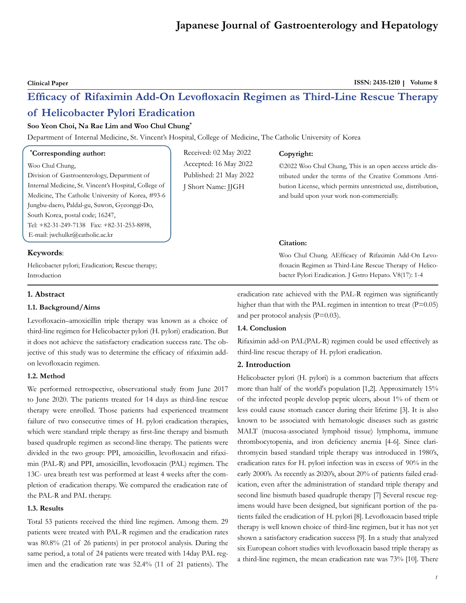**Clinical Paper ISSN: 2435-1210** | Volume 8

# **Efficacy of Rifaximin Add-On Levofloxacin Regimen as Third-Line Rescue Therapy of Helicobacter Pylori Eradication**

# **Soo Yeon Choi, Na Rae Lim and Woo Chul Chung\***

Department of Internal Medicine, St. Vincent's Hospital, College of Medicine, The Catholic University of Korea

# **\* Corresponding author:**

Woo Chul Chung,

Division of Gastroenterology, Department of Internal Medicine, St. Vincent's Hospital, College of Medicine, The Catholic University of Korea, #93-6 Jungbu-daero, Paldal-gu, Suwon, Gyeonggi-Do, South Korea, postal code; 16247, Tel: +82-31-249-7138 Fax: +82-31-253-8898, E-mail: jwchulkr@catholic.ac.kr

## **Keywords**:

Helicobacter pylori; Eradication; Rescue therapy; Introduction

# **1. Abstract**

# **1.1. Background/Aims**

Levofloxacin–amoxicillin triple therapy was known as a choice of third-line regimen for Helicobacter pylori (H. pylori) eradication. But it does not achieve the satisfactory eradication success rate. The objective of this study was to determine the efficacy of rifaximin addon levofloxacin regimen.

# **1.2. Method**

We performed retrospective, observational study from June 2017 to June 2020. The patients treated for 14 days as third-line rescue therapy were enrolled. Those patients had experienced treatment failure of two consecutive times of H. pylori eradication therapies, which were standard triple therapy as first-line therapy and bismuth based quadruple regimen as second-line therapy. The patients were divided in the two group: PPI, amoxicillin, levofloxacin and rifaximin (PAL-R) and PPI, amoxicillin, levofloxacin (PAL) regimen. The 13C- urea breath test was performed at least 4 weeks after the completion of eradication therapy. We compared the eradication rate of the PAL-R and PAL therapy.

#### **1.3. Results**

Total 53 patients received the third line regimen. Among them. 29 patients were treated with PAL-R regimen and the eradication rates was 80.8% (21 of 26 patients) in per protocol analysis. During the same period, a total of 24 patients were treated with 14day PAL regimen and the eradication rate was 52.4% (11 of 21 patients). The

Received: 02 May 2022 Accepted: 16 May 2022 Published: 21 May 2022 J Short Name: JJGH

#### **Copyright:**

©2022 Woo Chul Chung, This is an open access article distributed under the terms of the Creative Commons Attribution License, which permits unrestricted use, distribution, and build upon your work non-commercially.

# **Citation:**

Woo Chul Chung. AEfficacy of Rifaximin Add-On Levofloxacin Regimen as Third-Line Rescue Therapy of Helicobacter Pylori Eradication. J Gstro Hepato. V8(17): 1-4

eradication rate achieved with the PAL-R regimen was significantly higher than that with the PAL regimen in intention to treat  $(P=0.05)$ and per protocol analysis (P=0.03).

# **1.4. Conclusion**

Rifaximin add-on PAL(PAL-R) regimen could be used effectively as third-line rescue therapy of H. pylori eradication.

# **2. Introduction**

Helicobacter pylori (H. pylori) is a common bacterium that affects more than half of the world's population [1,2]. Approximately 15% of the infected people develop peptic ulcers, about 1% of them or less could cause stomach cancer during their lifetime [3]. It is also known to be associated with hematologic diseases such as gastric MALT (mucosa-associated lymphoid tissue) lymphoma, immune thrombocytopenia, and iron deficiency anemia [4-6]. Since clarithromycin based standard triple therapy was introduced in 1980's, eradication rates for H. pylori infection was in excess of 90% in the early 2000's. As recently as 2020's, about 20% of patients failed eradication, even after the administration of standard triple therapy and second line bismuth based quadruple therapy [7] Several rescue regimens would have been designed, but significant portion of the patients failed the eradication of H. pylori [8]. Levofloxacin based triple therapy is well known choice of third-line regimen, but it has not yet shown a satisfactory eradication success [9]. In a study that analyzed six European cohort studies with levofloxacin based triple therapy as a third-line regimen, the mean eradication rate was 73% [10]. There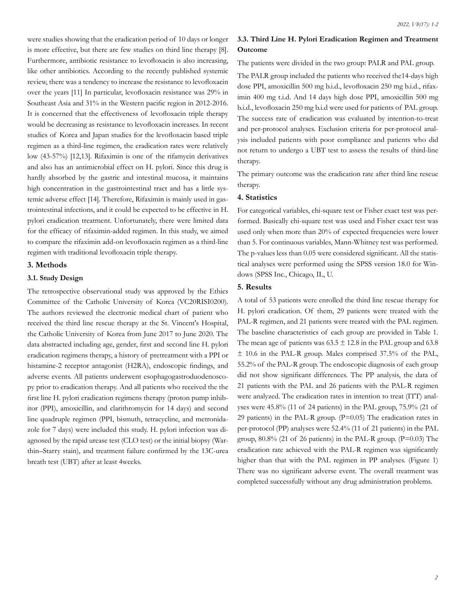were studies showing that the eradication period of 10 days or longer is more effective, but there are few studies on third line therapy [8]. Furthermore, antibiotic resistance to levofloxacin is also increasing, like other antibiotics. According to the recently published systemic review, there was a tendency to increase the resistance to levofloxacin over the years [11] In particular, levofloxacin resistance was 29% in Southeast Asia and 31% in the Western pacific region in 2012-2016. It is concerned that the effectiveness of levofloxacin triple therapy would be decreasing as resistance to levofloxacin increases. In recent studies of Korea and Japan studies for the levofloxacin based triple regimen as a third-line regimen, the eradication rates were relatively low (43-57%) [12,13]. Rifaximin is one of the rifamycin derivatives and also has an antimicrobial effect on H. pylori. Since this drug is hardly absorbed by the gastric and intestinal mucosa, it maintains high concentration in the gastrointestinal tract and has a little systemic adverse effect [14]. Therefore, Rifaximin is mainly used in gastrointestinal infections, and it could be expected to be effective in H. pylori eradication treatment. Unfortunately, there were limited data for the efficacy of rifaximin-added regimen. In this study, we aimed to compare the rifaximin add-on levofloxacin regimen as a third-line regimen with traditional levofloxacin triple therapy.

#### **3. Methods**

#### **3.1. Study Design**

The retrospective observational study was approved by the Ethics Committee of the Catholic University of Korea (VC20RISI0200). The authors reviewed the electronic medical chart of patient who received the third line rescue therapy at the St. Vincent's Hospital, the Catholic University of Korea from June 2017 to June 2020. The data abstracted including age, gender, first and second line H. pylori eradication regimens therapy, a history of pretreatment with a PPI or histamine-2 receptor antagonist (H2RA), endoscopic findings, and adverse events. All patients underwent esophagogastroduodenoscopy prior to eradication therapy. And all patients who received the the first line H. pylori eradication regimens therapy (proton pump inhibitor (PPI), amoxicillin, and clarithromycin for 14 days) and second line quadruple regimen (PPI, bismuth, tetracycline, and metronidazole for 7 days) were included this study. H. pylori infection was diagnosed by the rapid urease test (CLO test) or the initial biopsy (Warthin–Starry stain), and treatment failure confirmed by the 13C-urea breath test (UBT) after at least 4weeks.

# **3.3. Third Line H. Pylori Eradication Regimen and Treatment Outcome**

The patients were divided in the two group: PALR and PAL group.

The PALR group included the patients who received the14-days high dose PPI, amoxicillin 500 mg b.i.d., levofloxacin 250 mg b.i.d., rifaximin 400 mg t.i.d. And 14 days high dose PPI, amoxicillin 500 mg b.i.d., levofloxacin 250 mg b.i.d were used for patients of PAL group. The success rate of eradication was evaluated by intention-to-treat and per-protocol analyses. Exclusion criteria for per-protocol analysis included patients with poor compliance and patients who did not return to undergo a UBT test to assess the results of third-line therapy.

The primary outcome was the eradication rate after third line rescue therapy.

#### **4. Statistics**

For categorical variables, chi-square test or Fisher exact test was performed. Basically chi-square test was used and Fisher exact test was used only when more than 20% of expected frequencies were lower than 5. For continuous variables, Mann-Whitney test was performed. The p-values less than 0.05 were considered significant. All the statistical analyses were performed using the SPSS version 18.0 for Windows (SPSS Inc., Chicago, IL, U.

# **5. Results**

A total of 53 patients were enrolled the third line rescue therapy for H. pylori eradication. Of them, 29 patients were treated with the PAL-R regimen, and 21 patients were treated with the PAL regimen. The baseline characteristics of each group are provided in Table 1. The mean age of patients was  $63.5 \pm 12.8$  in the PAL group and  $63.8$ ± 10.6 in the PAL-R group. Males comprised 37.5% of the PAL, 55.2% of the PAL-R group. The endoscopic diagnosis of each group did not show significant differences. The PP analysis, the data of 21 patients with the PAL and 26 patients with the PAL-R regimen were analyzed. The eradication rates in intention to treat (ITT) analyses were 45.8% (11 of 24 patients) in the PAL group, 75.9% (21 of 29 patients) in the PAL-R group.  $(P=0.05)$  The eradication rates in per-protocol (PP) analyses were 52.4% (11 of 21 patients) in the PAL group, 80.8% (21 of 26 patients) in the PAL-R group. (P=0.03) The eradication rate achieved with the PAL-R regimen was significantly higher than that with the PAL regimen in PP analyses. (Figure 1) There was no significant adverse event. The overall treatment was completed successfully without any drug administration problems.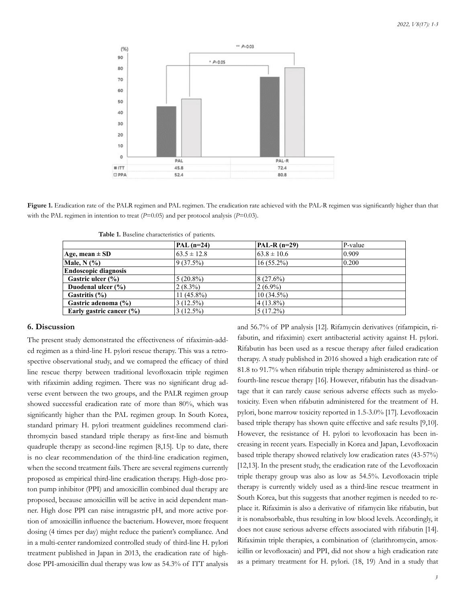

**Figure 1.** Eradication rate of the PALR regimen and PAL regimen. The eradication rate achieved with the PAL-R regimen was significantly higher than that with the PAL regimen in intention to treat ( $P=0.05$ ) and per protocol analysis ( $P=0.03$ ).

|                              | $PAL(n=24)$     | $PAL-R (n=29)$  | P-value |  |
|------------------------------|-----------------|-----------------|---------|--|
| $Age, mean \pm SD$           | $63.5 \pm 12.8$ | $63.8 \pm 10.6$ | 0.909   |  |
| Male, $N$ $(\%)$             | 9(37.5%)        | $16(55.2\%)$    | 0.200   |  |
| <b>Endoscopic diagnosis</b>  |                 |                 |         |  |
| Gastric ulcer (%)            | $5(20.8\%)$     | 8(27.6%)        |         |  |
| Duodenal ulcer (%)           | $2(8.3\%)$      | $(2(6.9\%)$     |         |  |
| Gastritis (%)                | $11(45.8\%)$    | $10(34.5\%)$    |         |  |
| Gastric adenoma (%)          | 3(12.5%)        | $(4(13.8\%)$    |         |  |
| Early gastric cancer $(\% )$ | 3(12.5%)        | $5(17.2\%)$     |         |  |

**Table 1.** Baseline characteristics of patients.

# **6. Discussion**

The present study demonstrated the effectiveness of rifaximin-added regimen as a third-line H. pylori rescue therapy. This was a retrospective observational study, and we comapred the efficacy of third line rescue therpy between traditional levofloxacin triple regimen with rifaximin adding regimen. There was no significant drug adverse event between the two groups, and the PALR regimen group showed successful eradication rate of more than 80%, which was significantly higher than the PAL regimen group. In South Korea, standard primary H. pylori treatment guidelines recommend clarithromycin based standard triple therapy as first-line and bismuth quadruple therapy as second-line regimen [8,15]. Up to date, there is no clear recommendation of the third-line eradication regimen, when the second treatment fails. There are several regimens currently proposed as empirical third-line eradication therapy. High-dose proton pump inhibitor (PPI) and amoxicillin combined dual therapy are proposed, because amoxicillin will be active in acid dependent manner. High dose PPI can raise intragastric pH, and more active portion of amoxicillin influence the bacterium. However, more frequent dosing (4 times per day) might reduce the patient's compliance. And in a multi-center randomized controlled study of third-line H. pylori treatment published in Japan in 2013, the eradication rate of highdose PPI-amoxicillin dual therapy was low as 54.3% of ITT analysis

and 56.7% of PP analysis [12]. Rifamycin derivatives (rifampicin, rifabutin, and rifaximin) exert antibacterial activity against H. pylori. Rifabutin has been used as a rescue therapy after failed eradication therapy. A study published in 2016 showed a high eradication rate of 81.8 to 91.7% when rifabutin triple therapy administered as third- or fourth-line rescue therapy [16]. However, rifabutin has the disadvantage that it can rarely cause serious adverse effects such as myelotoxicity. Even when rifabutin administered for the treatment of H. pylori, bone marrow toxicity reported in 1.5-3.0% [17]. Levofloxacin based triple therapy has shown quite effective and safe results [9,10]. However, the resistance of H. pylori to levofloxacin has been increasing in recent years. Especially in Korea and Japan, Levofloxacin based triple therapy showed relatively low eradication rates (43-57%) [12,13]. In the present study, the eradication rate of the Levofloxacin triple therapy group was also as low as 54.5%. Levofloxacin triple therapy is currently widely used as a third-line rescue treatment in South Korea, but this suggests that another regimen is needed to replace it. Rifaximin is also a derivative of rifamycin like rifabutin, but it is nonabsorbable, thus resulting in low blood levels. Accordingly, it does not cause serious adverse effects associated with rifabutin [14]. Rifaximin triple therapies, a combination of (clarithromycin, amoxicillin or levofloxacin) and PPI, did not show a high eradication rate as a primary treatment for H. pylori. (18, 19) And in a study that